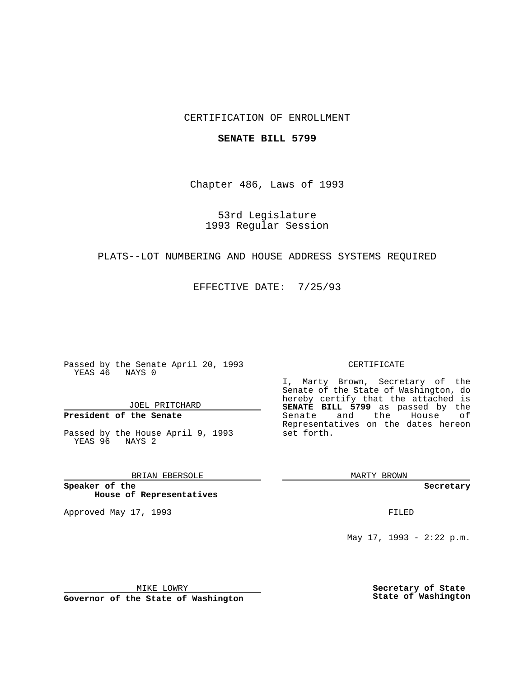# CERTIFICATION OF ENROLLMENT

### **SENATE BILL 5799**

Chapter 486, Laws of 1993

# 53rd Legislature 1993 Regular Session

### PLATS--LOT NUMBERING AND HOUSE ADDRESS SYSTEMS REQUIRED

EFFECTIVE DATE: 7/25/93

Passed by the Senate April 20, 1993 YEAS 46 NAYS 0

JOEL PRITCHARD

# **President of the Senate**

Passed by the House April 9, 1993 YEAS 96 NAYS 2

### BRIAN EBERSOLE

**Speaker of the House of Representatives**

Approved May 17, 1993 **FILED** 

#### CERTIFICATE

I, Marty Brown, Secretary of the Senate of the State of Washington, do hereby certify that the attached is **SENATE BILL 5799** as passed by the Senate and the House of Representatives on the dates hereon set forth.

MARTY BROWN

**Secretary**

May 17, 1993 - 2:22 p.m.

MIKE LOWRY

**Governor of the State of Washington**

**Secretary of State State of Washington**